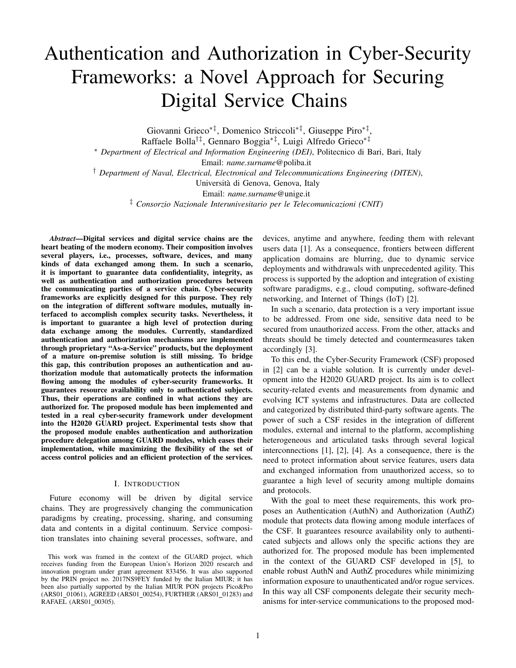# Authentication and Authorization in Cyber-Security Frameworks: a Novel Approach for Securing Digital Service Chains

Giovanni Grieco∗‡, Domenico Striccoli∗‡, Giuseppe Piro∗‡ ,

Raffaele Bolla†‡, Gennaro Boggia∗‡, Luigi Alfredo Grieco∗‡

<sup>∗</sup> *Department of Electrical and Information Engineering (DEI)*, Politecnico di Bari, Bari, Italy

Email: *name.surname*@poliba.it

† *Department of Naval, Electrical, Electronical and Telecommunications Engineering (DITEN)*,

Universita di Genova, Genova, Italy `

Email: *name.surname*@unige.it

‡ *Consorzio Nazionale Interunivesitario per le Telecomunicazioni (CNIT)*

*Abstract*—Digital services and digital service chains are the heart beating of the modern economy. Their composition involves several players, i.e., processes, software, devices, and many kinds of data exchanged among them. In such a scenario, it is important to guarantee data confidentiality, integrity, as well as authentication and authorization procedures between the communicating parties of a service chain. Cyber-security frameworks are explicitly designed for this purpose. They rely on the integration of different software modules, mutually interfaced to accomplish complex security tasks. Nevertheless, it is important to guarantee a high level of protection during data exchange among the modules. Currently, standardized authentication and authorization mechanisms are implemented through proprietary "As-a-Service" products, but the deployment of a mature on-premise solution is still missing. To bridge this gap, this contribution proposes an authentication and authorization module that automatically protects the information flowing among the modules of cyber-security frameworks. It guarantees resource availability only to authenticated subjects. Thus, their operations are confined in what actions they are authorized for. The proposed module has been implemented and tested in a real cyber-security framework under development into the H2020 GUARD project. Experimental tests show that the proposed module enables authentication and authorization procedure delegation among GUARD modules, which eases their implementation, while maximizing the flexibility of the set of access control policies and an efficient protection of the services.

### I. INTRODUCTION

Future economy will be driven by digital service chains. They are progressively changing the communication paradigms by creating, processing, sharing, and consuming data and contents in a digital continuum. Service composition translates into chaining several processes, software, and devices, anytime and anywhere, feeding them with relevant users data [1]. As a consequence, frontiers between different application domains are blurring, due to dynamic service deployments and withdrawals with unprecedented agility. This process is supported by the adoption and integration of existing software paradigms, e.g., cloud computing, software-defined networking, and Internet of Things (IoT) [2].

In such a scenario, data protection is a very important issue to be addressed. From one side, sensitive data need to be secured from unauthorized access. From the other, attacks and threats should be timely detected and countermeasures taken accordingly [3].

To this end, the Cyber-Security Framework (CSF) proposed in [2] can be a viable solution. It is currently under development into the H2020 GUARD project. Its aim is to collect security-related events and measurements from dynamic and evolving ICT systems and infrastructures. Data are collected and categorized by distributed third-party software agents. The power of such a CSF resides in the integration of different modules, external and internal to the platform, accomplishing heterogeneous and articulated tasks through several logical interconnections [1], [2], [4]. As a consequence, there is the need to protect information about service features, users data and exchanged information from unauthorized access, so to guarantee a high level of security among multiple domains and protocols.

With the goal to meet these requirements, this work proposes an Authentication (AuthN) and Authorization (AuthZ) module that protects data flowing among module interfaces of the CSF. It guarantees resource availability only to authenticated subjects and allows only the specific actions they are authorized for. The proposed module has been implemented in the context of the GUARD CSF developed in [5], to enable robust AuthN and AuthZ procedures while minimizing information exposure to unauthenticated and/or rogue services. In this way all CSF components delegate their security mechanisms for inter-service communications to the proposed mod-

This work was framed in the context of the GUARD project, which receives funding from the European Union's Horizon 2020 research and innovation program under grant agreement 833456. It was also supported by the PRIN project no. 2017NS9FEY funded by the Italian MIUR; it has been also partially supported by the Italian MIUR PON projects Pico&Pro (ARS01\_01061), AGREED (ARS01\_00254), FURTHER (ARS01\_01283) and RAFAEL (ARS01\_00305).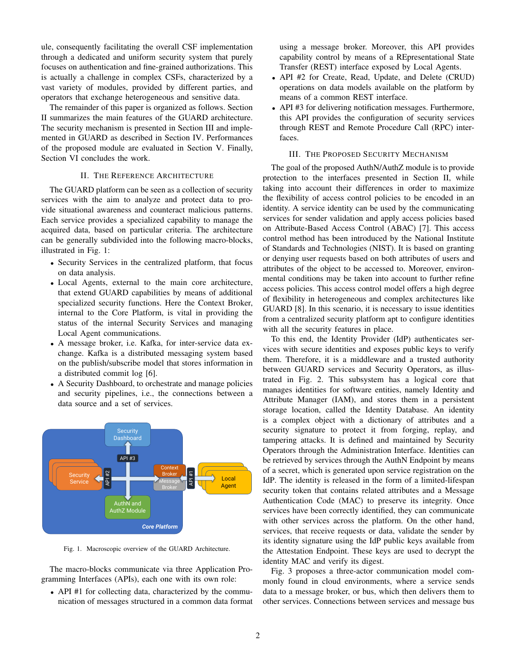ule, consequently facilitating the overall CSF implementation through a dedicated and uniform security system that purely focuses on authentication and fine-grained authorizations. This is actually a challenge in complex CSFs, characterized by a vast variety of modules, provided by different parties, and operators that exchange heterogeneous and sensitive data.

The remainder of this paper is organized as follows. Section II summarizes the main features of the GUARD architecture. The security mechanism is presented in Section III and implemented in GUARD as described in Section IV. Performances of the proposed module are evaluated in Section V. Finally, Section VI concludes the work.

# II. THE REFERENCE ARCHITECTURE

The GUARD platform can be seen as a collection of security services with the aim to analyze and protect data to provide situational awareness and counteract malicious patterns. Each service provides a specialized capability to manage the acquired data, based on particular criteria. The architecture can be generally subdivided into the following macro-blocks, illustrated in Fig. 1:

- Security Services in the centralized platform, that focus on data analysis.
- Local Agents, external to the main core architecture, that extend GUARD capabilities by means of additional specialized security functions. Here the Context Broker, internal to the Core Platform, is vital in providing the status of the internal Security Services and managing Local Agent communications.
- A message broker, i.e. Kafka, for inter-service data exchange. Kafka is a distributed messaging system based on the publish/subscribe model that stores information in a distributed commit log [6].
- A Security Dashboard, to orchestrate and manage policies and security pipelines, i.e., the connections between a data source and a set of services.



Fig. 1. Macroscopic overview of the GUARD Architecture.

The macro-blocks communicate via three Application Programming Interfaces (APIs), each one with its own role:

• API #1 for collecting data, characterized by the communication of messages structured in a common data format

using a message broker. Moreover, this API provides capability control by means of a REpresentational State Transfer (REST) interface exposed by Local Agents.

- API #2 for Create, Read, Update, and Delete (CRUD) operations on data models available on the platform by means of a common REST interface.
- API #3 for delivering notification messages. Furthermore, this API provides the configuration of security services through REST and Remote Procedure Call (RPC) interfaces.

## III. THE PROPOSED SECURITY MECHANISM

The goal of the proposed AuthN/AuthZ module is to provide protection to the interfaces presented in Section II, while taking into account their differences in order to maximize the flexibility of access control policies to be encoded in an identity. A service identity can be used by the communicating services for sender validation and apply access policies based on Attribute-Based Access Control (ABAC) [7]. This access control method has been introduced by the National Institute of Standards and Technologies (NIST). It is based on granting or denying user requests based on both attributes of users and attributes of the object to be accessed to. Moreover, environmental conditions may be taken into account to further refine access policies. This access control model offers a high degree of flexibility in heterogeneous and complex architectures like GUARD [8]. In this scenario, it is necessary to issue identities from a centralized security platform apt to configure identities with all the security features in place.

To this end, the Identity Provider (IdP) authenticates services with secure identities and exposes public keys to verify them. Therefore, it is a middleware and a trusted authority between GUARD services and Security Operators, as illustrated in Fig. 2. This subsystem has a logical core that manages identities for software entities, namely Identity and Attribute Manager (IAM), and stores them in a persistent storage location, called the Identity Database. An identity is a complex object with a dictionary of attributes and a security signature to protect it from forging, replay, and tampering attacks. It is defined and maintained by Security Operators through the Administration Interface. Identities can be retrieved by services through the AuthN Endpoint by means of a secret, which is generated upon service registration on the IdP. The identity is released in the form of a limited-lifespan security token that contains related attributes and a Message Authentication Code (MAC) to preserve its integrity. Once services have been correctly identified, they can communicate with other services across the platform. On the other hand, services, that receive requests or data, validate the sender by its identity signature using the IdP public keys available from the Attestation Endpoint. These keys are used to decrypt the identity MAC and verify its digest.

Fig. 3 proposes a three-actor communication model commonly found in cloud environments, where a service sends data to a message broker, or bus, which then delivers them to other services. Connections between services and message bus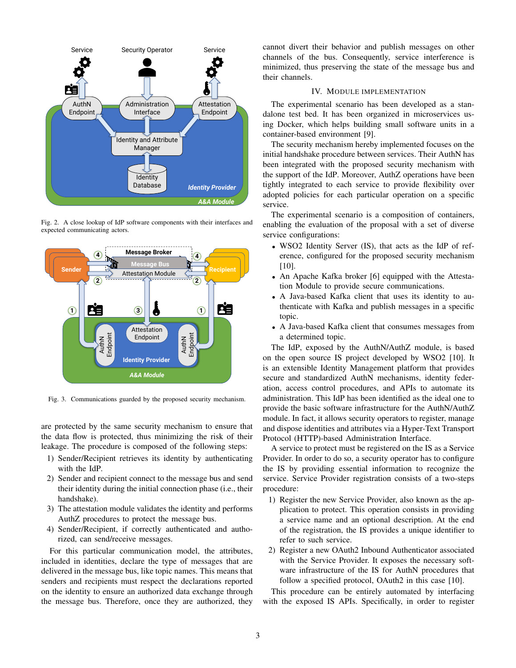

Fig. 2. A close lookup of IdP software components with their interfaces and expected communicating actors.



Fig. 3. Communications guarded by the proposed security mechanism.

are protected by the same security mechanism to ensure that the data flow is protected, thus minimizing the risk of their leakage. The procedure is composed of the following steps:

- 1) Sender/Recipient retrieves its identity by authenticating with the IdP.
- 2) Sender and recipient connect to the message bus and send their identity during the initial connection phase (i.e., their handshake).
- 3) The attestation module validates the identity and performs AuthZ procedures to protect the message bus.
- 4) Sender/Recipient, if correctly authenticated and authorized, can send/receive messages.

For this particular communication model, the attributes, included in identities, declare the type of messages that are delivered in the message bus, like topic names. This means that senders and recipients must respect the declarations reported on the identity to ensure an authorized data exchange through the message bus. Therefore, once they are authorized, they cannot divert their behavior and publish messages on other channels of the bus. Consequently, service interference is minimized, thus preserving the state of the message bus and their channels.

# IV. MODULE IMPLEMENTATION

The experimental scenario has been developed as a standalone test bed. It has been organized in microservices using Docker, which helps building small software units in a container-based environment [9].

The security mechanism hereby implemented focuses on the initial handshake procedure between services. Their AuthN has been integrated with the proposed security mechanism with the support of the IdP. Moreover, AuthZ operations have been tightly integrated to each service to provide flexibility over adopted policies for each particular operation on a specific service.

The experimental scenario is a composition of containers, enabling the evaluation of the proposal with a set of diverse service configurations:

- WSO2 Identity Server (IS), that acts as the IdP of reference, configured for the proposed security mechanism [10].
- An Apache Kafka broker [6] equipped with the Attestation Module to provide secure communications.
- A Java-based Kafka client that uses its identity to authenticate with Kafka and publish messages in a specific topic.
- A Java-based Kafka client that consumes messages from a determined topic.

The IdP, exposed by the AuthN/AuthZ module, is based on the open source IS project developed by WSO2 [10]. It is an extensible Identity Management platform that provides secure and standardized AuthN mechanisms, identity federation, access control procedures, and APIs to automate its administration. This IdP has been identified as the ideal one to provide the basic software infrastructure for the AuthN/AuthZ module. In fact, it allows security operators to register, manage and dispose identities and attributes via a Hyper-Text Transport Protocol (HTTP)-based Administration Interface.

A service to protect must be registered on the IS as a Service Provider. In order to do so, a security operator has to configure the IS by providing essential information to recognize the service. Service Provider registration consists of a two-steps procedure:

- 1) Register the new Service Provider, also known as the application to protect. This operation consists in providing a service name and an optional description. At the end of the registration, the IS provides a unique identifier to refer to such service.
- 2) Register a new OAuth2 Inbound Authenticator associated with the Service Provider. It exposes the necessary software infrastructure of the IS for AuthN procedures that follow a specified protocol, OAuth2 in this case [10].

This procedure can be entirely automated by interfacing with the exposed IS APIs. Specifically, in order to register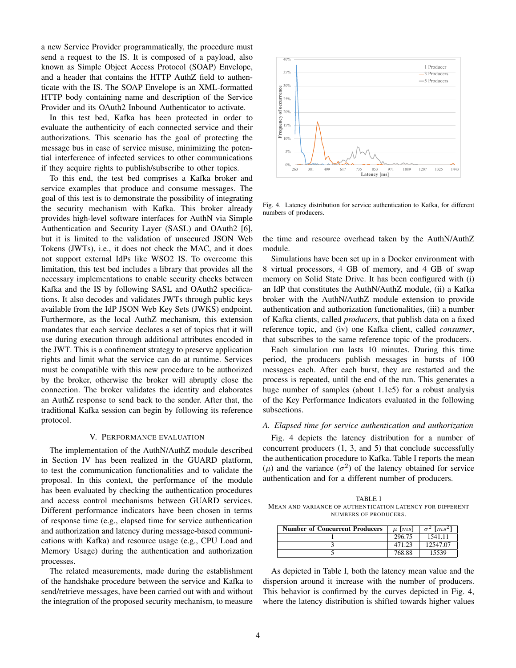a new Service Provider programmatically, the procedure must send a request to the IS. It is composed of a payload, also known as Simple Object Access Protocol (SOAP) Envelope, and a header that contains the HTTP AuthZ field to authenticate with the IS. The SOAP Envelope is an XML-formatted HTTP body containing name and description of the Service Provider and its OAuth2 Inbound Authenticator to activate.

In this test bed, Kafka has been protected in order to evaluate the authenticity of each connected service and their authorizations. This scenario has the goal of protecting the message bus in case of service misuse, minimizing the potential interference of infected services to other communications if they acquire rights to publish/subscribe to other topics.

To this end, the test bed comprises a Kafka broker and service examples that produce and consume messages. The goal of this test is to demonstrate the possibility of integrating the security mechanism with Kafka. This broker already provides high-level software interfaces for AuthN via Simple Authentication and Security Layer (SASL) and OAuth2 [6], but it is limited to the validation of unsecured JSON Web Tokens (JWTs), i.e., it does not check the MAC, and it does not support external IdPs like WSO2 IS. To overcome this limitation, this test bed includes a library that provides all the necessary implementations to enable security checks between Kafka and the IS by following SASL and OAuth2 specifications. It also decodes and validates JWTs through public keys available from the IdP JSON Web Key Sets (JWKS) endpoint. Furthermore, as the local AuthZ mechanism, this extension mandates that each service declares a set of topics that it will use during execution through additional attributes encoded in the JWT. This is a confinement strategy to preserve application rights and limit what the service can do at runtime. Services must be compatible with this new procedure to be authorized by the broker, otherwise the broker will abruptly close the connection. The broker validates the identity and elaborates an AuthZ response to send back to the sender. After that, the traditional Kafka session can begin by following its reference protocol.

#### V. PERFORMANCE EVALUATION

The implementation of the AuthN/AuthZ module described in Section IV has been realized in the GUARD platform, to test the communication functionalities and to validate the proposal. In this context, the performance of the module has been evaluated by checking the authentication procedures and access control mechanisms between GUARD services. Different performance indicators have been chosen in terms of response time (e.g., elapsed time for service authentication and authorization and latency during message-based communications with Kafka) and resource usage (e.g., CPU Load and Memory Usage) during the authentication and authorization processes.

The related measurements, made during the establishment of the handshake procedure between the service and Kafka to send/retrieve messages, have been carried out with and without the integration of the proposed security mechanism, to measure



Fig. 4. Latency distribution for service authentication to Kafka, for different numbers of producers.

the time and resource overhead taken by the AuthN/AuthZ module.

Simulations have been set up in a Docker environment with 8 virtual processors, 4 GB of memory, and 4 GB of swap memory on Solid State Drive. It has been configured with (i) an IdP that constitutes the AuthN/AuthZ module, (ii) a Kafka broker with the AuthN/AuthZ module extension to provide authentication and authorization functionalities, (iii) a number of Kafka clients, called *producers*, that publish data on a fixed reference topic, and (iv) one Kafka client, called *consumer*, that subscribes to the same reference topic of the producers.

Each simulation run lasts 10 minutes. During this time period, the producers publish messages in bursts of 100 messages each. After each burst, they are restarted and the process is repeated, until the end of the run. This generates a huge number of samples (about 1.1e5) for a robust analysis of the Key Performance Indicators evaluated in the following subsections.

## *A. Elapsed time for service authentication and authorization*

Fig. 4 depicts the latency distribution for a number of concurrent producers (1, 3, and 5) that conclude successfully the authentication procedure to Kafka. Table I reports the mean (μ) and the variance ( $σ$ <sup>2</sup>) of the latency obtained for service authentication and for a different number of producers.

TABLE I MEAN AND VARIANCE OF AUTHENTICATION LATENCY FOR DIFFERENT NUMBERS OF PRODUCERS.

| <b>Number of Concurrent Producers</b> | $\mu$ [ms] | $\sigma^2$ [ms <sup>2</sup> ] |
|---------------------------------------|------------|-------------------------------|
|                                       | 296.75     | 1541.11                       |
|                                       | 471.23     | 12547.07                      |
|                                       | 768.88     | 15539                         |

As depicted in Table I, both the latency mean value and the dispersion around it increase with the number of producers. This behavior is confirmed by the curves depicted in Fig. 4, where the latency distribution is shifted towards higher values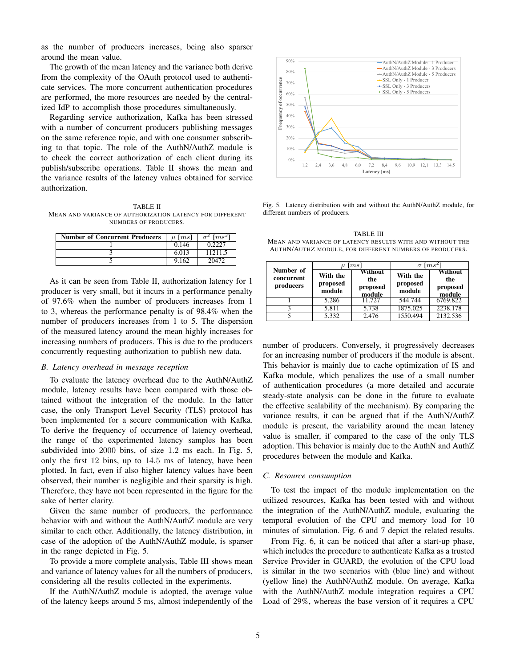as the number of producers increases, being also sparser around the mean value.

The growth of the mean latency and the variance both derive from the complexity of the OAuth protocol used to authenticate services. The more concurrent authentication procedures are performed, the more resources are needed by the centralized IdP to accomplish those procedures simultaneously.

Regarding service authorization, Kafka has been stressed with a number of concurrent producers publishing messages on the same reference topic, and with one consumer subscribing to that topic. The role of the AuthN/AuthZ module is to check the correct authorization of each client during its publish/subscribe operations. Table II shows the mean and the variance results of the latency values obtained for service authorization.

TABLE II MEAN AND VARIANCE OF AUTHORIZATION LATENCY FOR DIFFERENT NUMBERS OF PRODUCERS.

| <b>Number of Concurrent Producers</b> | $\mu$ [ms] | $\sigma^2$ [ms <sup>2</sup> ] |
|---------------------------------------|------------|-------------------------------|
|                                       | 0.146      | 0.2227                        |
|                                       | 6.013      | 11211.5                       |
|                                       | 9.162      | 20472                         |

As it can be seen from Table II, authorization latency for 1 producer is very small, but it incurs in a performance penalty of 97.6% when the number of producers increases from 1 to 3, whereas the performance penalty is of 98.4% when the number of producers increases from 1 to 5. The dispersion of the measured latency around the mean highly increases for increasing numbers of producers. This is due to the producers concurrently requesting authorization to publish new data.

### *B. Latency overhead in message reception*

To evaluate the latency overhead due to the AuthN/AuthZ module, latency results have been compared with those obtained without the integration of the module. In the latter case, the only Transport Level Security (TLS) protocol has been implemented for a secure communication with Kafka. To derive the frequency of occurrence of latency overhead, the range of the experimented latency samples has been subdivided into 2000 bins, of size 1.2 ms each. In Fig. 5, only the first 12 bins, up to 14.5 ms of latency, have been plotted. In fact, even if also higher latency values have been observed, their number is negligible and their sparsity is high. Therefore, they have not been represented in the figure for the sake of better clarity.

Given the same number of producers, the performance behavior with and without the AuthN/AuthZ module are very similar to each other. Additionally, the latency distribution, in case of the adoption of the AuthN/AuthZ module, is sparser in the range depicted in Fig. 5.

To provide a more complete analysis, Table III shows mean and variance of latency values for all the numbers of producers, considering all the results collected in the experiments.

If the AuthN/AuthZ module is adopted, the average value of the latency keeps around 5 ms, almost independently of the



Fig. 5. Latency distribution with and without the AuthN/AuthZ module, for different numbers of producers.

TABLE III MEAN AND VARIANCE OF LATENCY RESULTS WITH AND WITHOUT THE AUTHN/AUTHZ MODULE, FOR DIFFERENT NUMBERS OF PRODUCERS.

| Number of<br>concurrent<br>producers | $\lceil ms \rceil$<br>$\mu$    |                                      | $\left[ms^2\right]$<br>$\sigma$ |                                      |
|--------------------------------------|--------------------------------|--------------------------------------|---------------------------------|--------------------------------------|
|                                      | With the<br>proposed<br>module | Without<br>the<br>proposed<br>module | With the<br>proposed<br>module  | Without<br>the<br>proposed<br>module |
|                                      | 5.286                          | 11.727                               | 544.744                         | 6769.822                             |
| 2                                    | 5.811                          | 5.738                                | 1875.025                        | 2238.178                             |
|                                      | 5.332                          | 2.476                                | 1550.494                        | 2132.536                             |

number of producers. Conversely, it progressively decreases for an increasing number of producers if the module is absent. This behavior is mainly due to cache optimization of IS and Kafka module, which penalizes the use of a small number of authentication procedures (a more detailed and accurate steady-state analysis can be done in the future to evaluate the effective scalability of the mechanism). By comparing the variance results, it can be argued that if the AuthN/AuthZ module is present, the variability around the mean latency value is smaller, if compared to the case of the only TLS adoption. This behavior is mainly due to the AuthN and AuthZ procedures between the module and Kafka.

#### *C. Resource consumption*

To test the impact of the module implementation on the utilized resources, Kafka has been tested with and without the integration of the AuthN/AuthZ module, evaluating the temporal evolution of the CPU and memory load for 10 minutes of simulation. Fig. 6 and 7 depict the related results.

From Fig. 6, it can be noticed that after a start-up phase, which includes the procedure to authenticate Kafka as a trusted Service Provider in GUARD, the evolution of the CPU load is similar in the two scenarios with (blue line) and without (yellow line) the AuthN/AuthZ module. On average, Kafka with the AuthN/AuthZ module integration requires a CPU Load of 29%, whereas the base version of it requires a CPU